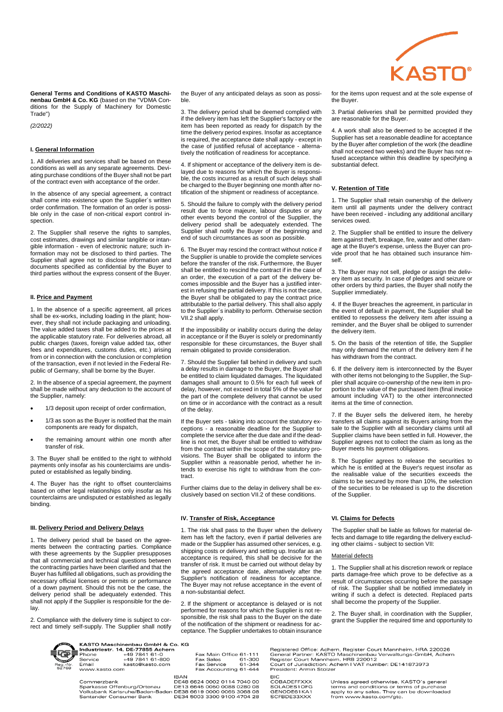

**General Terms and Conditions of KASTO Maschinenbau GmbH & Co. KG** (based on the "VDMA Conditions for the Supply of Machinery for Domestic Trade")

*(2/2022)*

## **I. General Information**

1. All deliveries and services shall be based on these conditions as well as any separate agreements. Deviating purchase conditions of the Buyer shall not be part of the contract even with acceptance of the order.

In the absence of any special agreement, a contract shall come into existence upon the Supplier´s written order confirmation. The formation of an order is possible only in the case of non-critical export control inspection.

2. The Supplier shall reserve the rights to samples, cost estimates, drawings and similar tangible or intangible information - even of electronic nature; such information may not be disclosed to third parties. The Supplier shall agree not to disclose information and documents specified as confidential by the Buyer to third parties without the express consent of the Buyer.

## **II. Price and Payment**

1. In the absence of a specific agreement, all prices shall be ex-works, including loading in the plant; however, they shall not include packaging and unloading. The value added taxes shall be added to the prices at the applicable statutory rate. For deliveries abroad, all public charges (taxes, foreign value added tax, other fees and expenditures, customs duties, etc.) arising from or in connection with the conclusion or completion of the transaction, even if not levied in the Federal Republic of Germany, shall be borne by the Buyer.

2. In the absence of a special agreement, the payment shall be made without any deduction to the account of the Supplier, namely:

- 1/3 deposit upon receipt of order confirmation,
- 1/3 as soon as the Buyer is notified that the main components are ready for dispatch,
- the remaining amount within one month after transfer of risk.

3. The Buyer shall be entitled to the right to withhold payments only insofar as his counterclaims are undisputed or established as legally binding.

4. The Buyer has the right to offset counterclaims based on other legal relationships only insofar as his counterclaims are undisputed or established as legally binding.

#### **III. Delivery Period and Delivery Delays**

1. The delivery period shall be based on the agreements between the contracting parties. Compliance with these agreements by the Supplier presupposes that all commercial and technical questions between the contracting parties have been clarified and that the Buyer has fulfilled all obligations, such as providing the necessary official licenses or permits or performance of a down payment. Should this not be the case, the delivery period shall be adequately extended. This shall not apply if the Supplier is responsible for the delay.

2. Compliance with the delivery time is subject to correct and timely self-supply. The Supplier shall notify



KASTO Maschinenbau GmbH & Co. KG Next Text Text A, DE-77855 Achern<br>Phone +49 7841 61-0<br>Service +49 7841 61-0<br>Service +49 7841 61-800<br>Email .<br>www.kasto.com

**IBAN** 

Commerzbank Sparkasse Offenburg/Ortenau<br>Sparkasse Offenburg/Ortenau<br>Volksbank Karlsruhe/Baden-Baden<br>Santander Consumer Bank the Buyer of any anticipated delays as soon as possible.

3. The delivery period shall be deemed complied with if the delivery item has left the Supplier's factory or the item has been reported as ready for dispatch by the time the delivery period expires. Insofar as acceptance is required, the acceptance date shall apply - except in the case of justified refusal of acceptance - alternatively the notification of readiness for acceptance.

4. If shipment or acceptance of the delivery item is delayed due to reasons for which the Buyer is responsible, the costs incurred as a result of such delays shall be charged to the Buyer beginning one month after notification of the shipment or readiness of acceptance.

5. Should the failure to comply with the delivery period result due to force majeure, labour disputes or any other events beyond the control of the Supplier, the delivery period shall be adequately extended. The Supplier shall notify the Buyer of the beginning and end of such circumstances as soon as possible.

6. The Buyer may rescind the contract without notice if the Supplier is unable to provide the complete services before the transfer of the risk. Furthermore, the Buyer shall be entitled to rescind the contract if in the case of an order, the execution of a part of the delivery becomes impossible and the Buyer has a justified interest in refusing the partial delivery. If this is not the case, the Buyer shall be obligated to pay the contract price attributable to the partial delivery. This shall also apply to the Supplier´s inability to perform. Otherwise section VII.2 shall apply.

If the impossibility or inability occurs during the delay in acceptance or if the Buyer is solely or predominantly responsible for these circumstances, the Buyer shall remain obligated to provide consideration.

7. Should the Supplier fall behind in delivery and such a delay results in damage to the Buyer, the Buyer shall be entitled to claim liquidated damages. The liquidated damages shall amount to 0.5% for each full week of delay, however, not exceed in total 5% of the value for the part of the complete delivery that cannot be used on time or in accordance with the contract as a result of the delay.

If the Buyer sets - taking into account the statutory exceptions - a reasonable deadline for the Supplier to complete the service after the due date and if the deadline is not met, the Buyer shall be entitled to withdraw from the contract within the scope of the statutory provisions. The Buyer shall be obligated to inform the Supplier within a reasonable period, whether he intends to exercise his right to withdraw from the contract.

Further claims due to the delay in delivery shall be exclusively based on section VII.2 of these conditions.

## **IV. Transfer of Risk, Acceptance**

Fax Main Office 61-111<br>Fax Sales 61-300<br>Fax Service 61-344<br>Fax Accounting 61-444

DE48 6624 0002 0114 7040 00

DE13 6645 0050 0088 0280 08<br>DE38 6619 0000 0065 3068 08<br>DE34 5003 3300 9100 4704 28

1. The risk shall pass to the Buyer when the delivery item has left the factory, even if partial deliveries are made or the Supplier has assumed other services, e.g. shipping costs or delivery and setting up. Insofar as an acceptance is required, this shall be decisive for the transfer of risk. It must be carried out without delay by the agreed acceptance date, alternatively after the Supplier's notification of readiness for acceptance. The Buyer may not refuse acceptance in the event of a non-substantial defect.

2. If the shipment or acceptance is delayed or is not performed for reasons for which the Supplier is not responsible, the risk shall pass to the Buyer on the date of the notification of the shipment or readiness for acceptance. The Supplier undertakes to obtain insurance

for the items upon request and at the sole expense of the Buyer.

3. Partial deliveries shall be permitted provided they are reasonable for the Buyer.

4. A work shall also be deemed to be accepted if the Supplier has set a reasonable deadline for acceptance by the Buyer after completion of the work (the deadline shall not exceed two weeks) and the Buyer has not refused acceptance within this deadline by specifying a substantial defect.

## **V. Retention of Title**

1. The Supplier shall retain ownership of the delivery item until all payments under the delivery contract have been received - including any additional ancillary services owed.

2. The Supplier shall be entitled to insure the delivery item against theft, breakage, fire, water and other damage at the Buyer's expense, unless the Buyer can provide proof that he has obtained such insurance himself.

3. The Buyer may not sell, pledge or assign the delivery item as security. In case of pledges and seizure or other orders by third parties, the Buyer shall notify the Supplier immediately.

4. If the Buyer breaches the agreement, in particular in the event of default in payment, the Supplier shall be entitled to repossess the delivery item after issuing a reminder, and the Buyer shall be obliged to surrender the delivery item.

5. On the basis of the retention of title, the Supplier may only demand the return of the delivery item if he has withdrawn from the contract.

6. If the delivery item is interconnected by the Buyer with other items not belonging to the Supplier, the Supplier shall acquire co-ownership of the new item in proportion to the value of the purchased item (final invoice amount including VAT) to the other interconnected items at the time of connection

7. If the Buyer sells the delivered item, he hereby transfers all claims against its Buyers arising from the sale to the Supplier with all secondary claims until all Supplier claims have been settled in full. However, the Supplier agrees not to collect the claim as long as the Buyer meets his payment obligations.

8. The Supplier agrees to release the securities to which he is entitled at the Buyer's request insofar as the realisable value of the securities exceeds the claims to be secured by more than 10%, the selection of the securities to be released is up to the discretion of the Supplier.

#### **VI. Claims for Defects**

The Supplier shall be liable as follows for material defects and damage to title regarding the delivery excluding other claims - subject to section VII:

## Material defects

1. The Supplier shall at his discretion rework or replace parts damage-free which prove to be defective as a result of circumstances occurring before the passage of risk. The Supplier shall be notified immediately in writing if such a defect is detected. Replaced parts shall become the property of the Supplier.

2. The Buyer shall, in coordination with the Supplier, grant the Supplier the required time and opportunity to

| Registered Office: Achern, Register Court Mannheim, HRA 220026 |
|----------------------------------------------------------------|
| General Partner: KASTO Maschinenbau Verwaltungs-GmbH, Achern   |
| Register Court Mannheim, HRB 220012                            |
| Court of Jurisdiction: Achern I VAT number: DE141873973        |
| President: Armin Stolzer                                       |

BIC<br>COBADEFFXXX SOLADES1OFG<br>GENODE61KA1 SCFBDE33XXX

Unless agreed otherwise, KASTO's general terms and conditions or terms of purchase<br>apply to any sales. They can be downloaded<br>from www.kasto.com/gtc.